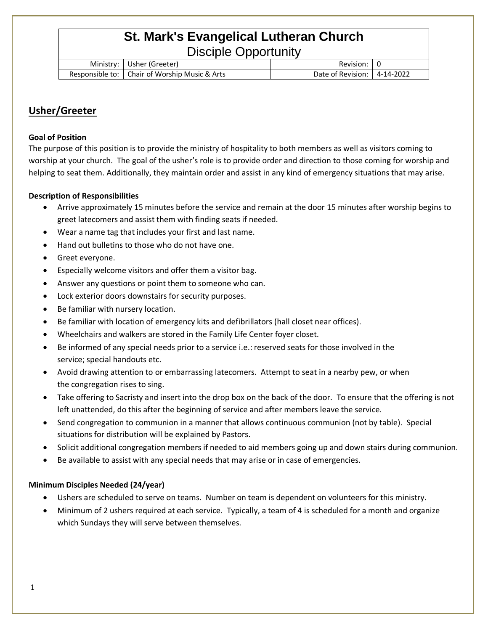# **St. Mark's Evangelical Lutheran Church**

| <b>Disciple Opportunity</b> |  |  |
|-----------------------------|--|--|
|                             |  |  |

| Ministr<br>. V  | (Greeter)<br>Jsher            | Revision               |           |
|-----------------|-------------------------------|------------------------|-----------|
| Responsible to: | Chair of Worship Music & Arts | Date ot<br>: Revision: | 4-14-2022 |

# **Usher/Greeter**

### **Goal of Position**

The purpose of this position is to provide the ministry of hospitality to both members as well as visitors coming to worship at your church. The goal of the usher's role is to provide order and direction to those coming for worship and helping to seat them. Additionally, they maintain order and assist in any kind of emergency situations that may arise.

## **Description of Responsibilities**

- Arrive approximately 15 minutes before the service and remain at the door 15 minutes after worship begins to greet latecomers and assist them with finding seats if needed.
- Wear a name tag that includes your first and last name.
- Hand out bulletins to those who do not have one.
- Greet everyone.
- Especially welcome visitors and offer them a visitor bag.
- Answer any questions or point them to someone who can.
- Lock exterior doors downstairs for security purposes.
- Be familiar with nursery location.
- Be familiar with location of emergency kits and defibrillators (hall closet near offices).
- Wheelchairs and walkers are stored in the Family Life Center foyer closet.
- Be informed of any special needs prior to a service i.e.: reserved seats for those involved in the service; special handouts etc.
- Avoid drawing attention to or embarrassing latecomers. Attempt to seat in a nearby pew, or when the congregation rises to sing.
- Take offering to Sacristy and insert into the drop box on the back of the door. To ensure that the offering is not left unattended, do this after the beginning of service and after members leave the service.
- Send congregation to communion in a manner that allows continuous communion (not by table). Special situations for distribution will be explained by Pastors.
- Solicit additional congregation members if needed to aid members going up and down stairs during communion.
- Be available to assist with any special needs that may arise or in case of emergencies.

### **Minimum Disciples Needed (24/year)**

- Ushers are scheduled to serve on teams. Number on team is dependent on volunteers for this ministry.
- Minimum of 2 ushers required at each service. Typically, a team of 4 is scheduled for a month and organize which Sundays they will serve between themselves.